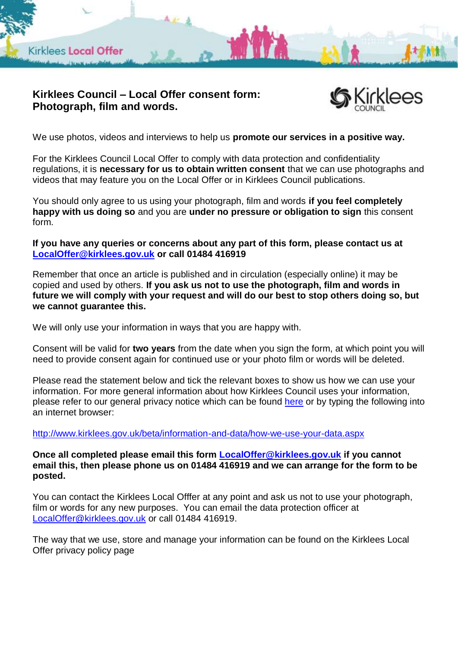

## **Kirklees Council – Local Offer consent form: Photograph, film and words.**



We use photos, videos and interviews to help us **promote our services in a positive way.**

For the Kirklees Council Local Offer to comply with data protection and confidentiality regulations, it is **necessary for us to obtain written consent** that we can use photographs and videos that may feature you on the Local Offer or in Kirklees Council publications.

You should only agree to us using your photograph, film and words **if you feel completely happy with us doing so** and you are **under no pressure or obligation to sign** this consent form.

**If you have any queries or concerns about any part of this form, please contact us at [LocalOffer@kirklees.gov.uk](mailto:LocalOffer@kirklees.gov.uk) or call 01484 416919** 

Remember that once an article is published and in circulation (especially online) it may be copied and used by others. **If you ask us not to use the photograph, film and words in future we will comply with your request and will do our best to stop others doing so, but we cannot guarantee this.**

We will only use your information in ways that you are happy with.

Consent will be valid for **two years** from the date when you sign the form, at which point you will need to provide consent again for continued use or your photo film or words will be deleted.

Please read the statement below and tick the relevant boxes to show us how we can use your information. For more general information about how Kirklees Council uses your information, please refer to our general privacy notice which can be found [here](http://www.kirklees.gov.uk/beta/information-and-data/how-we-use-your-data.aspx) or by typing the following into an internet browser:

<http://www.kirklees.gov.uk/beta/information-and-data/how-we-use-your-data.aspx>

**Once all completed please email this form [LocalOffer@kirklees.gov.uk](mailto:LocalOffer@kirklees.gov.uk) if you cannot email this, then please phone us on 01484 416919 and we can arrange for the form to be posted.**

You can contact the Kirklees Local Offfer at any point and ask us not to use your photograph, film or words for any new purposes. You can email the data protection officer at [LocalOffer@kirklees.gov.uk](mailto:LocalOffer@kirklees.gov.uk) or call 01484 416919.

The way that we use, store and manage your information can be found on the Kirklees Local Offer privacy policy page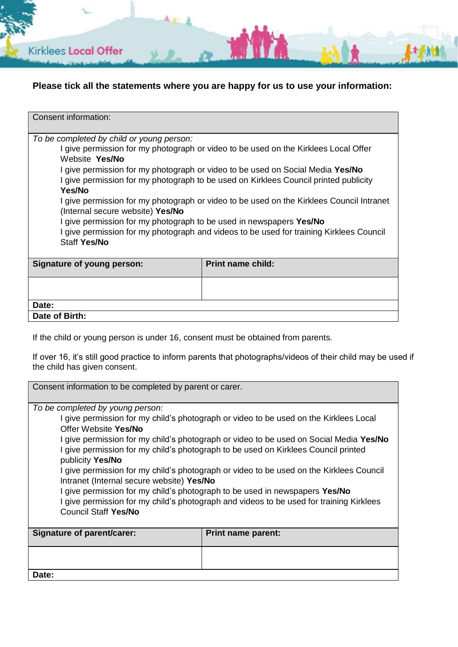

## **Please tick all the statements where you are happy for us to use your information:**

| Consent information:                                                                                                                                                   |                          |
|------------------------------------------------------------------------------------------------------------------------------------------------------------------------|--------------------------|
| To be completed by child or young person:<br>I give permission for my photograph or video to be used on the Kirklees Local Offer                                       |                          |
| Website Yes/No                                                                                                                                                         |                          |
| I give permission for my photograph or video to be used on Social Media Yes/No<br>I give permission for my photograph to be used on Kirklees Council printed publicity |                          |
| Yes/No                                                                                                                                                                 |                          |
| I give permission for my photograph or video to be used on the Kirklees Council Intranet<br>(Internal secure website) Yes/No                                           |                          |
| I give permission for my photograph to be used in newspapers Yes/No                                                                                                    |                          |
| I give permission for my photograph and videos to be used for training Kirklees Council<br>Staff Yes/No                                                                |                          |
|                                                                                                                                                                        |                          |
| Signature of young person:                                                                                                                                             | <b>Print name child:</b> |
|                                                                                                                                                                        |                          |
| Date:                                                                                                                                                                  |                          |
| Date of Birth:                                                                                                                                                         |                          |

If the child or young person is under 16, consent must be obtained from parents.

If over 16, it's still good practice to inform parents that photographs/videos of their child may be used if the child has given consent.